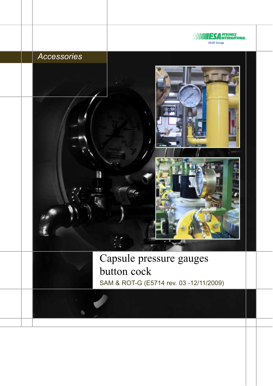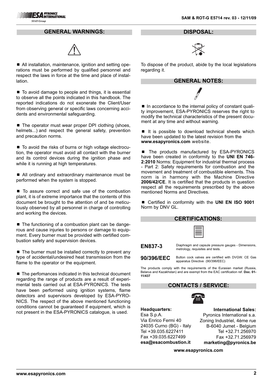#### **GENERAL WARNINGS:**



■ All installation, maintenance, ignition and setting operations must be performed by qualified personnel and respect the laws in force at the time and place of installation.

■ To avoid damage to people and things, it is essential to observe all the points indicated in this handbook. The reported indications do not exonerate the Client/User from observing general or specific laws concerning accidents and environmental safeguarding.

■ The operator must wear proper DPI clothing (shoes, helmets...) and respect the general safety, prevention and precaution norms.

■ To avoid the risks of burns or high voltage electrocution, the operator must avoid all contact with the burner and its control devices during the ignition phase and while it is running at high temperatures.

■ All ordinary and extraordinary maintenance must be performed when the system is stopped.

■ To assure correct and safe use of the combustion plant, it is of extreme importance that the contents of this document be brought to the attention of and be meticulously observed by all personnel in charge of controlling and working the devices.

 $\blacksquare$  The functioning of a combustion plant can be dangerous and cause injuries to persons or damage to equipment. Every burner must be provided with certified combustion safety and supervision devices.

 $\blacksquare$  The burner must be installed correctly to prevent any type of accidental/undesired heat transmission from the flame to the operator or the equipment.

■ The perfomances indicated in this technical document regarding the range of products are a result of experimental tests carried out at ESA-PYRONICS. The tests have been performed using ignition systems, flame detectors and supervisors developed by ESA-PYRO-NICS. The respect of the above mentioned functioning conditions cannot be guaranteed if equipment, which is not present in the ESA-PYRONICS catalogue, is used.

**DISPOSAL:**



To dispose of the product, abide by the local legislations regarding it.

**GENERAL NOTES:**

■ In accordance to the internal policy of constant quality improvement, ESA-PYRONICS reserves the right to modify the technical characteristics of the present document at any time and without warning.

■ It is possible to download technical sheets which have been updated to the latest revision from the **www.esapyronics.com** website.

■ The products manufactured by ESA-PYRONICS have been created in conformity to the **UNI EN 746- 2:2010** Norms: Equipment for industrial thermal process - Part 2: Safety requirements for combustion and the movement and treatment of combustible elements. This norm is in harmony with the Machine Directive **2006/42/CE**. It is certified that the products in question respect all the requirements prescribed by the above mentioned Norms and Directives.

■ Certified in conformity with the UNI EN ISO 9001 Norm by DNV GL.

#### **CERTIFICATIONS:**

**EN837-3**

Diaphragm and capsule pressure gauges - Dimensions, metrology, requisites and tests.

**90/396/EEC** Button cock valves are certified with DVGW. CE Gas apparatus Directive (90/396/EEC)

The products comply with the requirements of the Eurasian market (Russia, Belarus and Kazakhstan) and are exempt from the EAC certification ref. **Doc. 01- 11/437**

#### **CONTACTS / SERVICE:**



**Headquarters:** Esa S.p.A. Via Enrico Fermi 40 24035 Curno (BG) - Italy Tel +39.035.6227411 Fax +39.035.6227499 **esa@esacombustion.it**

**International Sales:** Pyronics International s.a. Zoning Industriel, 4ème rue B-6040 Jumet - Belgium Tel +32.71.256970 Fax +32.71.256979 **marketing@pyronics.be**

**www.esapyronics.com**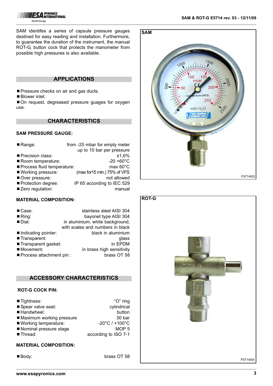SAM identifes a series of capsule pressure gauges destined for easy reading and installation. Furthermore, to guarantee the duration of the instrument, the manual ROT-G, button cock that protects the manometer from possible high pressures is also available.

### **APPLICATIONS**

**Pressure checks on air and gas ducts.** 

■ Blower inlet.

■ On request, degreased pressure guages for oxygen use.

## **CHARACTERISTICS**

## **SAM PRESSURE GAUGE:**

| Range:                     | from -25 mbar for empty meter |
|----------------------------|-------------------------------|
|                            | up to 10 bar per pressure     |
| Precision class:           | ±1,6%                         |
| Room temperature:          | $-20 + 60^{\circ}$ C          |
| Process fluid temperature: | $max 60^{\circ}$ C            |
| ■ Working pressure:        | (max for15 min.) 75% of VFS   |
| Over pressure:             | not allowed                   |
| Protection degree:         | IP 65 according to IEC 529    |
| Zero regulation:           | manual                        |
|                            |                               |

### **MATERIAL COMPOSITION:**

| $\blacksquare$ Case:      | stainless steel AISI 304         |
|---------------------------|----------------------------------|
| $\blacksquare$ Ring:      | bayonet type AISI 304            |
| Dial:                     | in aluminium, white background,  |
|                           | with scales and numbers in black |
| Indicating pointer:       | black in aluminium               |
| ■ Transparent:            | glass                            |
| Transparent gasket:       | in EPDM                          |
| Movement:                 | in brass high sensitivity        |
| ■ Process attachment pin: | brass OT 58                      |

## **ACCESSORY CHARACTERISTICS**

## **ROT-G COCK PIN:**

| $\blacksquare$ Tightness: | "O" ring                            |
|---------------------------|-------------------------------------|
| Spear valve seat:         | cylindrical                         |
| ■ Handwheel:              | button                              |
| Maximum working pressure  | 30 bar                              |
| ■ Working temperature:    | $-20^{\circ}$ C / +100 $^{\circ}$ C |
| Nominal pressure stage    | MOP <sub>5</sub>                    |
| ■ Thread:                 | according to ISO 7-1                |

#### **MATERIAL COMPOSITION:**

■ Body: brass OT 58



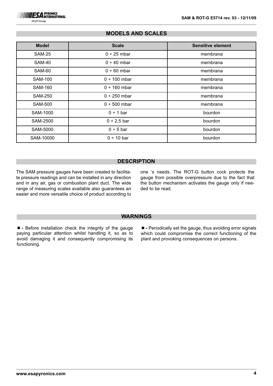**SIAD Group** 

## **MODELS AND SCALES**

| <b>Model</b>   | <b>Scale</b>      | <b>Sensitive element</b> |
|----------------|-------------------|--------------------------|
| <b>SAM-25</b>  | $0 \div 25$ mbar  | membrana                 |
| <b>SAM-40</b>  | $0 \div 40$ mbar  | membrana                 |
| <b>SAM-60</b>  | $0 ÷ 60$ mbar     | membrana                 |
| <b>SAM-100</b> | $0 \div 100$ mbar | membrana                 |
| <b>SAM-160</b> | $0 \div 160$ mbar | membrana                 |
| <b>SAM-250</b> | $0 \div 250$ mbar | membrana                 |
| <b>SAM-500</b> | $0 ÷ 500$ mbar    | membrana                 |
| SAM-1000       | $0 \div 1$ bar    | bourdon                  |
| SAM-2500       | $0 \div 2,5$ bar  | bourdon                  |
| SAM-5000       | 0 ÷ 5 bar         | bourdon                  |
| SAM-10000      | 0 ÷ 10 bar        | bourdon                  |

## **DESCRIPTION**

The SAM pressure gauges have been created to facilitate pressure readings and can be installed in any direction and in any air, gas or combustion plant duct. The wide range of measuring scales available also guarantees an easier and more versatile choice of product according to one 's needs. The ROT-G button cock protects the gauge from possible overpressure due to the fact that the button mechanism activates the gauge only if needed to be read.

#### **WARNINGS**

¾**-** Before installation check the integrity of the gauge paying particular attention whilst handling it, so as to avoid damaging it and consequently compromising its functioning.

■ - Periodically set the gauge, thus avoiding error signals which could compromise the correct functioning of the plant and provoking consequences on persons.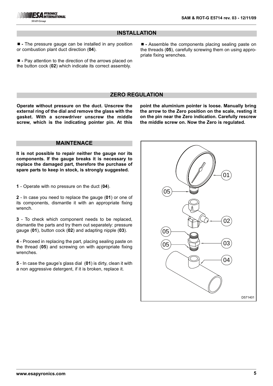## **INSTALLATION**

■ - The pressure gauge can be installed in any position or combustion plant duct direction (**04**).

■ - Pay attention to the direction of the arrows placed on the button cock (**02**) which indicate its correct assembly.

¾**-** Assemble the components placing sealing paste on the threads (**05**), carefully screwing them on using appropriate fixing wrenches.

### **ZERO REGULATION**

**Operate without pressure on the duct. Unscrew the external ring of the dial and remove the glass with the gasket. With a screwdriver unscrew the middle screw, which is the indicating pointer pin. At this** **point the aluminium pointer is loose. Manually bring the arrow to the Zero position on the scale, resting it on the pin near the Zero indication. Carefully rescrew the middle screw on. Now the Zero is regulated.** 

## **MAINTENACE**

**It is not possible to repair neither the gauge nor its components. If the gauge breaks it is necessary to replace the damaged part, therefore the purchase of spare parts to keep in stock, is strongly suggested.** 

**1** - Operate with no pressure on the duct (**04**).

**2** - In case you need to replace the gauge (**01**) or one of its components, dismantle it with an appropriate fixing wrench.

**3** - To check which component needs to be replaced, dismantle the parts and try them out separately: pressure gauge (**01**), button cock (**02**) and adapting nipple (**03**).

**4** - Proceed in replacing the part, placing sealing paste on the thread (**05**) and screwing on with appropriate fixing wrenches.

**5** - In case the gauge's glass dial (**01**) is dirty, clean it with a non aggressive detergent, if it is broken, replace it.

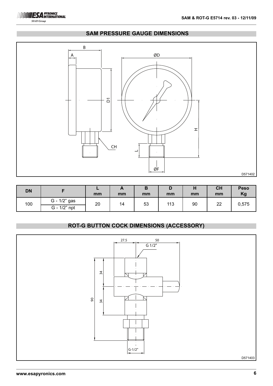

**SIAD Group** 

# **SAM PRESSURE GAUGE DIMENSIONS**



| <b>DN</b> |              | mm | <i>r</i><br>mm | D<br>mm | mm  | п<br>mm | <b>CH</b><br>mm | <b>Peso</b><br>Kg |
|-----------|--------------|----|----------------|---------|-----|---------|-----------------|-------------------|
| 100       | G - 1/2" gas | 20 | 14             | 53      | 113 | 90      | 22              | 0,575             |
|           | G - 1/2" npt |    |                |         |     |         |                 |                   |

## **ROT-G BUTTON COCK DIMENSIONS (ACCESSORY)**